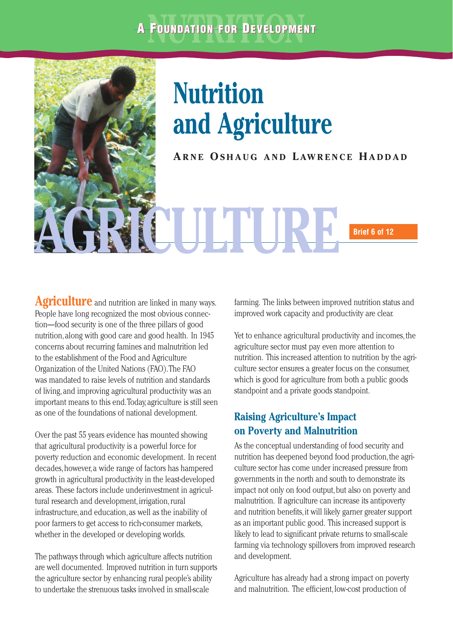# **A FOUNDATION FOR DEVELOPMENT**



Agriculture and nutrition are linked in many ways. People have long recognized the most obvious connection—food security is one of the three pillars of good nutrition, along with good care and good health. In 1945 concerns about recurring famines and malnutrition led to the establishment of the Food and Agriculture Organization of the United Nations (FAO).The FAO was mandated to raise levels of nutrition and standards of living, and improving agricultural productivity was an important means to this end.Today, agriculture is still seen as one of the foundations of national development.

Over the past 55 years evidence has mounted showing that agricultural productivity is a powerful force for poverty reduction and economic development. In recent decades, however, a wide range of factors has hampered growth in agricultural productivity in the least-developed areas. These factors include underinvestment in agricultural research and development, irrigation, rural infrastructure, and education, as well as the inability of poor farmers to get access to rich-consumer markets, whether in the developed or developing worlds.

The pathways through which agriculture affects nutrition are well documented. Improved nutrition in turn supports the agriculture sector by enhancing rural people's ability to undertake the strenuous tasks involved in small-scale

farming. The links between improved nutrition status and improved work capacity and productivity are clear.

Yet to enhance agricultural productivity and incomes, the agriculture sector must pay even more attention to nutrition. This increased attention to nutrition by the agriculture sector ensures a greater focus on the consumer, which is good for agriculture from both a public goods standpoint and a private goods standpoint.

## **Raising Agriculture's Impact on Poverty and Malnutrition**

As the conceptual understanding of food security and nutrition has deepened beyond food production, the agriculture sector has come under increased pressure from governments in the north and south to demonstrate its impact not only on food output, but also on poverty and malnutrition. If agriculture can increase its antipoverty and nutrition benefits,it will likely garner greater support as an important public good. This increased support is likely to lead to significant private returns to small-scale farming via technology spillovers from improved research and development.

Agriculture has already had a strong impact on poverty and malnutrition. The efficient, low-cost production of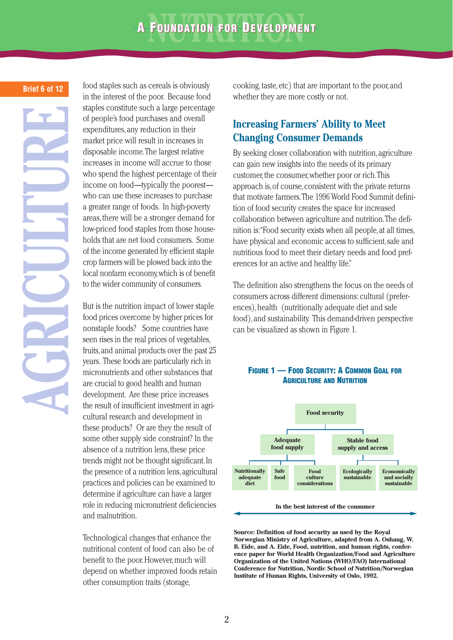#### **Brief 6 of 12**

**AGRICULTURE**

food staples such as cereals is obviously in the interest of the poor. Because food staples constitute such a large percentage of people's food purchases and overall expenditures, any reduction in their market price will result in increases in disposable income.The largest relative increases in income will accrue to those who spend the highest percentage of their income on food—typically the poorest who can use these increases to purchase a greater range of foods. In high-poverty areas, there will be a stronger demand for low-priced food staples from those households that are net food consumers. Some of the income generated by efficient staple crop farmers will be plowed back into the local nonfarm economy,which is of benefit to the wider community of consumers.

But is the nutrition impact of lower staple food prices overcome by higher prices for nonstaple foods? Some countries have seen rises in the real prices of vegetables, fruits,and animal products over the past 25 years. These foods are particularly rich in micronutrients and other substances that are crucial to good health and human development. Are these price increases the result of insufficient investment in agricultural research and development in these products? Or are they the result of some other supply side constraint? In the absence of a nutrition lens, these price trends might not be thought significant.In the presence of a nutrition lens,agricultural practices and policies can be examined to determine if agriculture can have a larger role in reducing micronutrient deficiencies and malnutrition.

Technological changes that enhance the nutritional content of food can also be of benefit to the poor. However, much will depend on whether improved foods retain other consumption traits (storage,

cooking, taste, etc) that are important to the poor, and whether they are more costly or not.

#### **Increasing Farmers' Ability to Meet Changing Consumer Demands**

By seeking closer collaboration with nutrition, agriculture can gain new insights into the needs of its primary customer, the consumer, whether poor or rich. This approach is, of course, consistent with the private returns that motivate farmers.The 1996 World Food Summit definition of food security creates the space for increased collaboration between agriculture and nutrition.The definition is:"Food security exists when all people,at all times, have physical and economic access to sufficient, safe and nutritious food to meet their dietary needs and food preferences for an active and healthy life."

The definition also strengthens the focus on the needs of consumers across different dimensions: cultural (preferences), health (nutritionally adequate diet and safe food), and sustainability. This demand-driven perspective can be visualized as shown in Figure 1.



#### **FIGURE 1 — FOOD SECURITY: A COMMON GOAL FOR AGRICULTURE AND NUTRITION**

**Source: Definition of food security as used by the Royal Norwegian Ministry of Agriculture, adapted from A. Oshaug, W. B. Eide, and A. Eide, Food, nutrition, and human rights, conference paper for World Health Organization/Food and Agriculture Organization of the United Nations (WHO/FAO) International Conference for Nutrition, Nordic School of Nutrition/Norwegian Institute of Human Rights, University of Oslo, 1992.**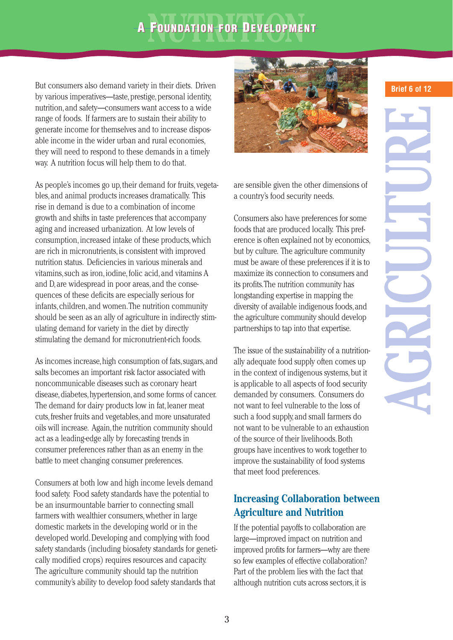## **A FOUNDATION FOR DEVELOPMENT**

But consumers also demand variety in their diets. Driven by various imperatives—taste, prestige, personal identity, nutrition, and safety—consumers want access to a wide range of foods. If farmers are to sustain their ability to generate income for themselves and to increase disposable income in the wider urban and rural economies, they will need to respond to these demands in a timely way. A nutrition focus will help them to do that.

As people's incomes go up, their demand for fruits, vegetables, and animal products increases dramatically. This rise in demand is due to a combination of income growth and shifts in taste preferences that accompany aging and increased urbanization. At low levels of consumption, increased intake of these products, which are rich in micronutrients, is consistent with improved nutrition status. Deficiencies in various minerals and vitamins, such as iron, iodine, folic acid, and vitamins A and D, are widespread in poor areas, and the consequences of these deficits are especially serious for infants, children, and women.The nutrition community should be seen as an ally of agriculture in indirectly stimulating demand for variety in the diet by directly stimulating the demand for micronutrient-rich foods.

As incomes increase, high consumption of fats, sugars, and salts becomes an important risk factor associated with noncommunicable diseases such as coronary heart disease,diabetes,hypertension,and some forms of cancer. The demand for dairy products low in fat, leaner meat cuts,fresher fruits and vegetables,and more unsaturated oils will increase. Again, the nutrition community should act as a leading-edge ally by forecasting trends in consumer preferences rather than as an enemy in the battle to meet changing consumer preferences.

Consumers at both low and high income levels demand food safety. Food safety standards have the potential to be an insurmountable barrier to connecting small farmers with wealthier consumers, whether in large domestic markets in the developing world or in the developed world. Developing and complying with food safety standards (including biosafety standards for genetically modified crops) requires resources and capacity. The agriculture community should tap the nutrition community's ability to develop food safety standards that



are sensible given the other dimensions of a country's food security needs.

Consumers also have preferences for some foods that are produced locally. This preference is often explained not by economics, but by culture. The agriculture community must be aware of these preferences if it is to maximize its connection to consumers and its profits.The nutrition community has longstanding expertise in mapping the diversity of available indigenous foods,and the agriculture community should develop partnerships to tap into that expertise.

The issue of the sustainability of a nutritionally adequate food supply often comes up in the context of indigenous systems, but it is applicable to all aspects of food security demanded by consumers. Consumers do not want to feel vulnerable to the loss of such a food supply,and small farmers do not want to be vulnerable to an exhaustion of the source of their livelihoods.Both groups have incentives to work together to improve the sustainability of food systems that meet food preferences.

## **Increasing Collaboration between Agriculture and Nutrition**

If the potential payoffs to collaboration are large—improved impact on nutrition and improved profits for farmers—why are there so few examples of effective collaboration? Part of the problem lies with the fact that although nutrition cuts across sectors, it is

## **Brief 6 of 12**